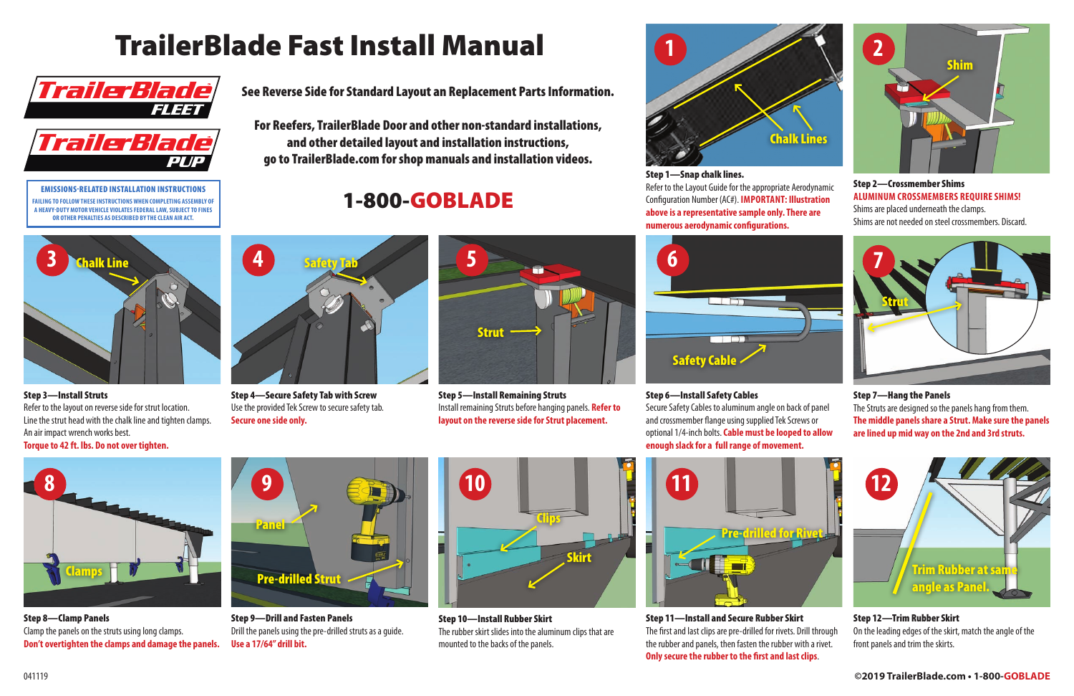

Step 8—Clamp Panels Clamp the panels on the struts using long clamps. **Don't overtighten the clamps and damage the panels.**

Step 10—Install Rubber Skirt The rubber skirt slides into the aluminum clips that are mounted to the backs of the panels.

#### Step 12—Trim Rubber Skirt

On the leading edges of the skirt, match the angle of the front panels and trim the skirts.

Step 1—Snap chalk lines. Refer to the Layout Guide for the appropriate Aerodynamic Configuration Number (AC#). **IMPORTANT: Illustration above is a representative sample only. There are numerous aerodynamic configurations.**

#### Step 2—Crossmember Shims **ALUMINUM CROSSMEMBERS REQUIRE SHIMS!**

Shims are placed underneath the clamps. Shims are not needed on steel crossmembers. Discard.

Step 3—Install Struts Refer to the layout on reverse side for strut location. Line the strut head with the chalk line and tighten clamps. An air impact wrench works best. **Torque to 42 ft. lbs. Do not over tighten.**



Step 9—Drill and Fasten Panels Drill the panels using the pre-drilled struts as a guide. **Use a 17/64" drill bit.**

Step 4—Secure Safety Tab with Screw Use the provided Tek Screw to secure safety tab. **Secure one side only.**

Step 5—Install Remaining Struts Install remaining Struts before hanging panels. **Refer to layout on the reverse side for Strut placement.**

Step 6—Install Safety Cables



Step 11—Install and Secure Rubber Skirt The first and last clips are pre-drilled for rivets. Drill through the rubber and panels, then fasten the rubber with a rivet. **Only secure the rubber to the first and last clips**.

Secure Safety Cables to aluminum angle on back of panel and crossmember flange using supplied Tek Screws or optional 1/4-inch bolts. **Cable must be looped to allow enough slack for a full range of movement.**

#### Step 7—Hang the Panels

The Struts are designed so the panels hang from them. **The middle panels share a Strut. Make sure the panels are lined up mid way on the 2nd and 3rd struts.**





See Reverse Side for Standard Layout an Replacement Parts Information.

For Reefers, TrailerBlade Door and other non-standard installations, and other detailed layout and installation instructions, go to TrailerBlade.com for shop manuals and installation videos.

1-800-GOBLADE

# TrailerBlade Fast Install Manual **2**











EMISSIONS-RELATED INSTALLATION INSTRUCTIONS **FAILING TO FOLLOW THESE INSTRUCTIONS WHEN COMPLETING ASSEMBLY OF A HEAVY-DUTY MOTOR VEHICLE VIOLATES FEDERAL LAW, SUBJECT TO FINES OR OTHER PENALTIES AS DESCRIBED BY THE CLEAN AIR ACT.**